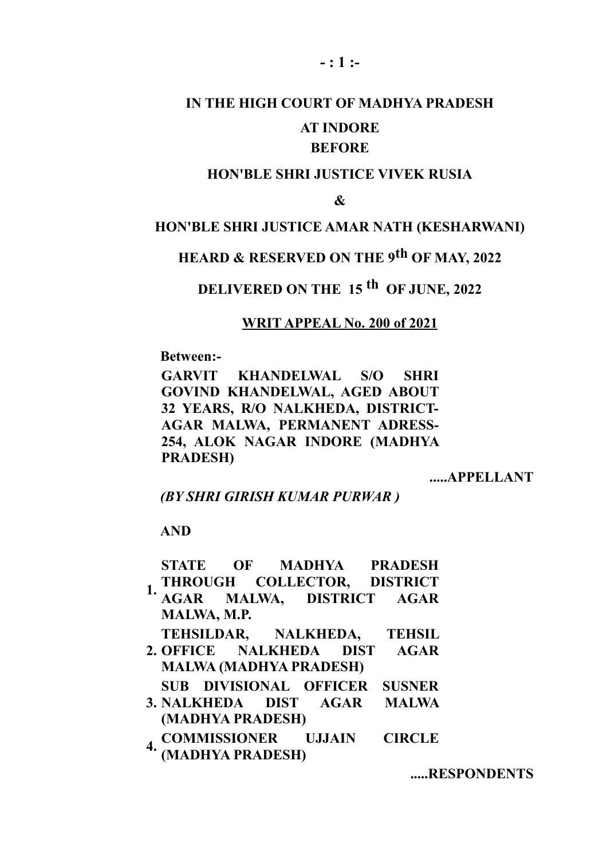# **IN THE HIGH COURT OF MADHYA PRADESH AT INDORE**

### **BEFORE**

#### **HON'BLE SHRI JUSTICE VIVEK RUSIA**

**&**

#### **HON'BLE SHRI JUSTICE AMAR NATH (KESHARWANI)**

## **HEARD & RESERVED ON THE 9th OF MAY, 2022**

## **DELIVERED ON THE 15 th OF JUNE, 2022**

#### **WRIT APPEAL No. 200 of 2021**

**Between:-**

**GARVIT KHANDELWAL S/O SHRI GOVIND KHANDELWAL, AGED ABOUT 32 YEARS, R/O NALKHEDA, DISTRICT-AGAR MALWA, PERMANENT ADRESS-254, ALOK NAGAR INDORE (MADHYA PRADESH)**

**.....APPELLANT**

*(BY SHRI GIRISH KUMAR PURWAR )*

**AND**

|    | MALWA, M.P.                   | STATE OF MADHYA PRADESH<br>1. THROUGH COLLECTOR, DISTRICT<br>AGAR MALWA, DISTRICT AGAR |  |
|----|-------------------------------|----------------------------------------------------------------------------------------|--|
|    | <b>MALWA (MADHYA PRADESH)</b> | TEHSILDAR, NALKHEDA, TEHSIL<br>2. OFFICE NALKHEDA DIST AGAR                            |  |
|    | (MADHYA PRADESH)              | SUB DIVISIONAL OFFICER SUSNER<br>3. NALKHEDA DIST AGAR MALWA                           |  |
| 4. |                               | <b>COMMISSIONER UJJAIN CIRCLE<br/>(MADHYA PRADESH)</b>                                 |  |

**.....RESPONDENTS**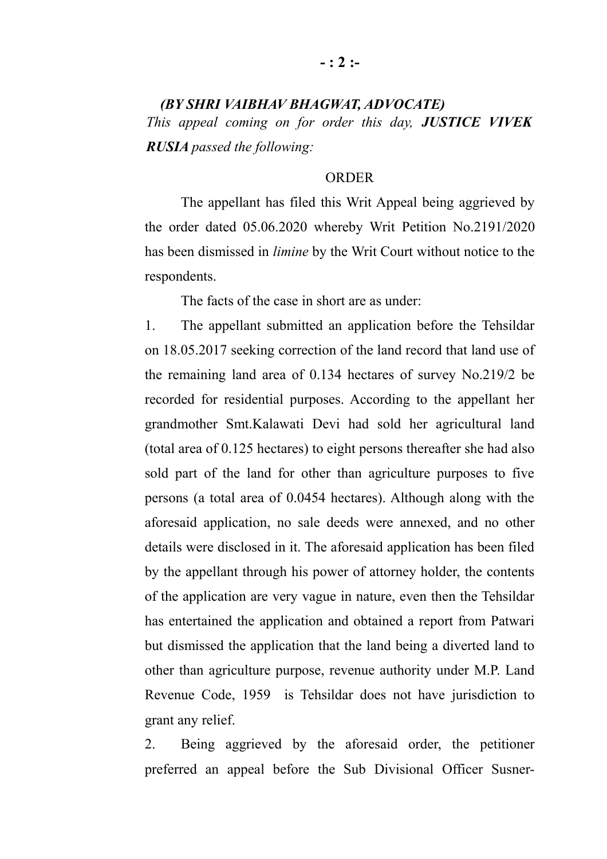## *(BY SHRI VAIBHAV BHAGWAT, ADVOCATE) This appeal coming on for order this day, JUSTICE VIVEK RUSIA passed the following:*

#### **ORDER**

The appellant has filed this Writ Appeal being aggrieved by the order dated 05.06.2020 whereby Writ Petition No.2191/2020 has been dismissed in *limine* by the Writ Court without notice to the respondents.

The facts of the case in short are as under:

1. The appellant submitted an application before the Tehsildar on 18.05.2017 seeking correction of the land record that land use of the remaining land area of 0.134 hectares of survey No.219/2 be recorded for residential purposes. According to the appellant her grandmother Smt.Kalawati Devi had sold her agricultural land (total area of 0.125 hectares) to eight persons thereafter she had also sold part of the land for other than agriculture purposes to five persons (a total area of 0.0454 hectares). Although along with the aforesaid application, no sale deeds were annexed, and no other details were disclosed in it. The aforesaid application has been filed by the appellant through his power of attorney holder, the contents of the application are very vague in nature, even then the Tehsildar has entertained the application and obtained a report from Patwari but dismissed the application that the land being a diverted land to other than agriculture purpose, revenue authority under M.P. Land Revenue Code, 1959 is Tehsildar does not have jurisdiction to grant any relief.

2. Being aggrieved by the aforesaid order, the petitioner preferred an appeal before the Sub Divisional Officer Susner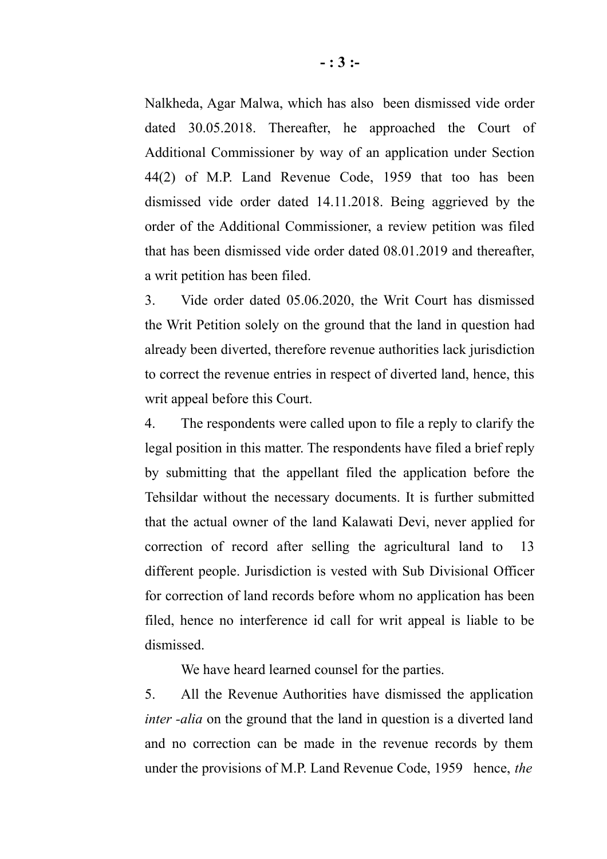Nalkheda, Agar Malwa, which has also been dismissed vide order dated 30.05.2018. Thereafter, he approached the Court of Additional Commissioner by way of an application under Section 44(2) of M.P. Land Revenue Code, 1959 that too has been dismissed vide order dated 14.11.2018. Being aggrieved by the order of the Additional Commissioner, a review petition was filed that has been dismissed vide order dated 08.01.2019 and thereafter, a writ petition has been filed.

3. Vide order dated 05.06.2020, the Writ Court has dismissed the Writ Petition solely on the ground that the land in question had already been diverted, therefore revenue authorities lack jurisdiction to correct the revenue entries in respect of diverted land, hence, this writ appeal before this Court.

4. The respondents were called upon to file a reply to clarify the legal position in this matter. The respondents have filed a brief reply by submitting that the appellant filed the application before the Tehsildar without the necessary documents. It is further submitted that the actual owner of the land Kalawati Devi, never applied for correction of record after selling the agricultural land to 13 different people. Jurisdiction is vested with Sub Divisional Officer for correction of land records before whom no application has been filed, hence no interference id call for writ appeal is liable to be dismissed.

We have heard learned counsel for the parties.

5. All the Revenue Authorities have dismissed the application *inter -alia* on the ground that the land in question is a diverted land and no correction can be made in the revenue records by them under the provisions of M.P. Land Revenue Code, 1959 hence, *the*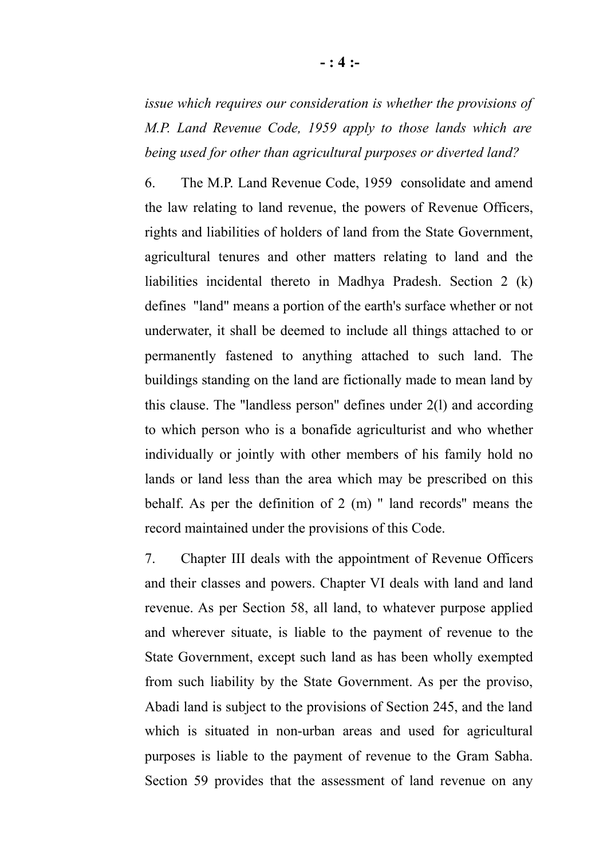*issue which requires our consideration is whether the provisions of M.P. Land Revenue Code, 1959 apply to those lands which are being used for other than agricultural purposes or diverted land?*

6. The M.P. Land Revenue Code, 1959 consolidate and amend the law relating to land revenue, the powers of Revenue Officers, rights and liabilities of holders of land from the State Government, agricultural tenures and other matters relating to land and the liabilities incidental thereto in Madhya Pradesh. Section 2 (k) defines "land" means a portion of the earth's surface whether or not underwater, it shall be deemed to include all things attached to or permanently fastened to anything attached to such land. The buildings standing on the land are fictionally made to mean land by this clause. The ''landless person'' defines under 2(l) and according to which person who is a bonafide agriculturist and who whether individually or jointly with other members of his family hold no lands or land less than the area which may be prescribed on this behalf. As per the definition of 2 (m) '' land records'' means the record maintained under the provisions of this Code.

7. Chapter III deals with the appointment of Revenue Officers and their classes and powers. Chapter VI deals with land and land revenue. As per Section 58, all land, to whatever purpose applied and wherever situate, is liable to the payment of revenue to the State Government, except such land as has been wholly exempted from such liability by the State Government. As per the proviso, Abadi land is subject to the provisions of Section 245, and the land which is situated in non-urban areas and used for agricultural purposes is liable to the payment of revenue to the Gram Sabha. Section 59 provides that the assessment of land revenue on any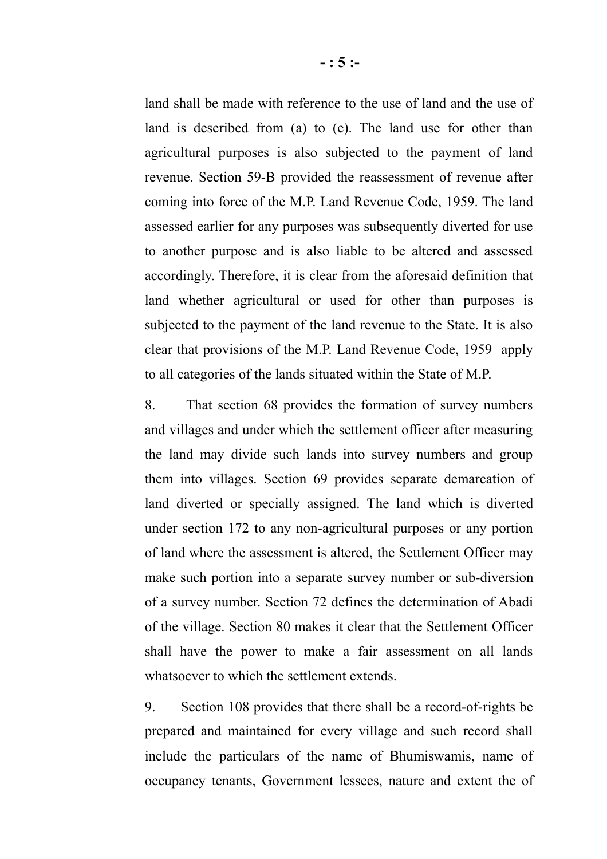land shall be made with reference to the use of land and the use of land is described from (a) to (e). The land use for other than agricultural purposes is also subjected to the payment of land revenue. Section 59-B provided the reassessment of revenue after coming into force of the M.P. Land Revenue Code, 1959. The land assessed earlier for any purposes was subsequently diverted for use to another purpose and is also liable to be altered and assessed accordingly. Therefore, it is clear from the aforesaid definition that land whether agricultural or used for other than purposes is subjected to the payment of the land revenue to the State. It is also clear that provisions of the M.P. Land Revenue Code, 1959 apply to all categories of the lands situated within the State of M.P.

8. That section 68 provides the formation of survey numbers and villages and under which the settlement officer after measuring the land may divide such lands into survey numbers and group them into villages. Section 69 provides separate demarcation of land diverted or specially assigned. The land which is diverted under section 172 to any non-agricultural purposes or any portion of land where the assessment is altered, the Settlement Officer may make such portion into a separate survey number or sub-diversion of a survey number. Section 72 defines the determination of Abadi of the village. Section 80 makes it clear that the Settlement Officer shall have the power to make a fair assessment on all lands whatsoever to which the settlement extends.

9. Section 108 provides that there shall be a record-of-rights be prepared and maintained for every village and such record shall include the particulars of the name of Bhumiswamis, name of occupancy tenants, Government lessees, nature and extent the of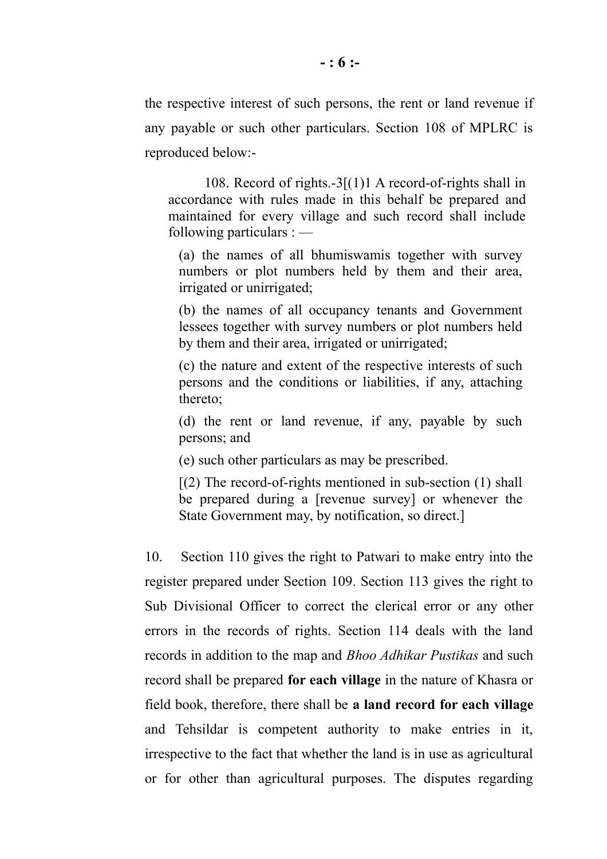the respective interest of such persons, the rent or land revenue if any payable or such other particulars. Section 108 of MPLRC is reproduced below:-

108. Record of rights.-3[(1)1 A record-of-rights shall in accordance with rules made in this behalf be prepared and maintained for every village and such record shall include following particulars : —

(a) the names of all bhumiswamis together with survey numbers or plot numbers held by them and their area, irrigated or unirrigated;

(b) the names of all occupancy tenants and Government lessees together with survey numbers or plot numbers held by them and their area, irrigated or unirrigated;

(c) the nature and extent of the respective interests of such persons and the conditions or liabilities, if any, attaching thereto;

(d) the rent or land revenue, if any, payable by such persons; and

(e) such other particulars as may be prescribed.

 $[(2)$  The record-of-rights mentioned in sub-section  $(1)$  shall be prepared during a [revenue survey] or whenever the State Government may, by notification, so direct.]

10. Section 110 gives the right to Patwari to make entry into the register prepared under Section 109. Section 113 gives the right to Sub Divisional Officer to correct the clerical error or any other errors in the records of rights. Section 114 deals with the land records in addition to the map and *Bhoo Adhikar Pustikas* and such record shall be prepared **for each village** in the nature of Khasra or field book, therefore, there shall be **a land record for each village** and Tehsildar is competent authority to make entries in it, irrespective to the fact that whether the land is in use as agricultural or for other than agricultural purposes. The disputes regarding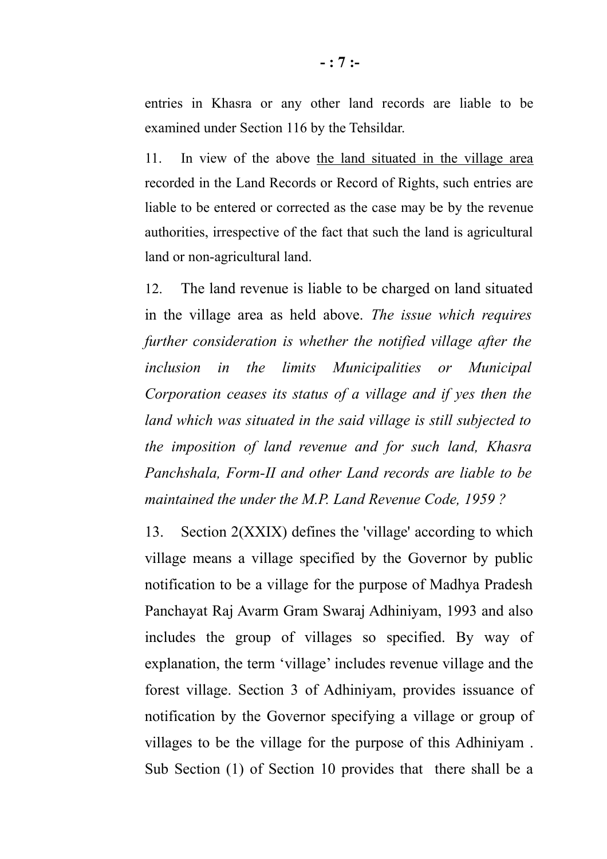entries in Khasra or any other land records are liable to be examined under Section 116 by the Tehsildar.

11. In view of the above the land situated in the village area recorded in the Land Records or Record of Rights, such entries are liable to be entered or corrected as the case may be by the revenue authorities, irrespective of the fact that such the land is agricultural land or non-agricultural land.

12. The land revenue is liable to be charged on land situated in the village area as held above. *The issue which requires further consideration is whether the notified village after the inclusion in the limits Municipalities or Municipal Corporation ceases its status of a village and if yes then the land which was situated in the said village is still subjected to the imposition of land revenue and for such land, Khasra Panchshala, Form-II and other Land records are liable to be maintained the under the M.P. Land Revenue Code, 1959 ?*

13. Section 2(XXIX) defines the 'village' according to which village means a village specified by the Governor by public notification to be a village for the purpose of Madhya Pradesh Panchayat Raj Avarm Gram Swaraj Adhiniyam, 1993 and also includes the group of villages so specified. By way of explanation, the term 'village' includes revenue village and the forest village. Section 3 of Adhiniyam, provides issuance of notification by the Governor specifying a village or group of villages to be the village for the purpose of this Adhiniyam . Sub Section (1) of Section 10 provides that there shall be a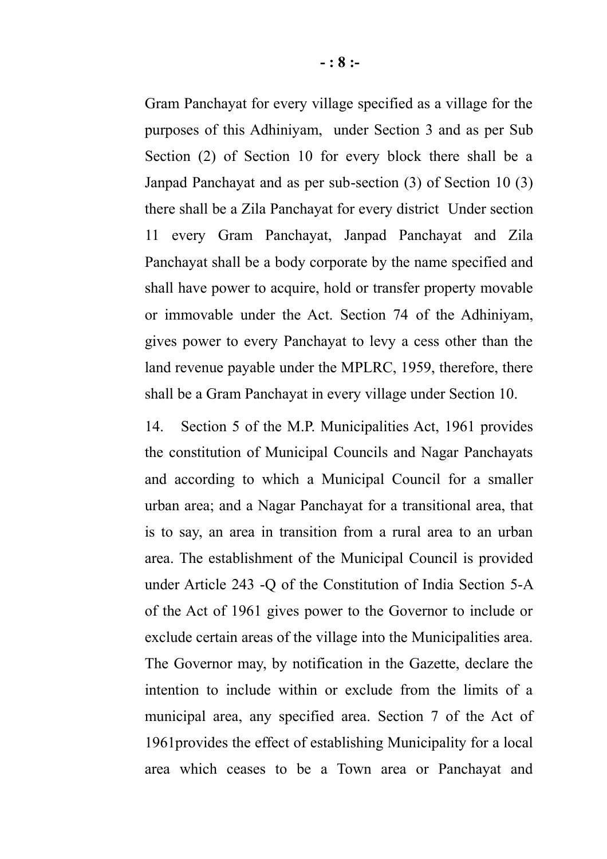Gram Panchayat for every village specified as a village for the purposes of this Adhiniyam, under Section 3 and as per Sub Section (2) of Section 10 for every block there shall be a Janpad Panchayat and as per sub-section (3) of Section 10 (3) there shall be a Zila Panchayat for every district Under section 11 every Gram Panchayat, Janpad Panchayat and Zila Panchayat shall be a body corporate by the name specified and shall have power to acquire, hold or transfer property movable or immovable under the Act. Section 74 of the Adhiniyam, gives power to every Panchayat to levy a cess other than the land revenue payable under the MPLRC, 1959, therefore, there shall be a Gram Panchayat in every village under Section 10.

14. Section 5 of the M.P. Municipalities Act, 1961 provides the constitution of Municipal Councils and Nagar Panchayats and according to which a Municipal Council for a smaller urban area; and a Nagar Panchayat for a transitional area, that is to say, an area in transition from a rural area to an urban area. The establishment of the Municipal Council is provided under Article 243 -Q of the Constitution of India Section 5-A of the Act of 1961 gives power to the Governor to include or exclude certain areas of the village into the Municipalities area. The Governor may, by notification in the Gazette, declare the intention to include within or exclude from the limits of a municipal area, any specified area. Section 7 of the Act of 1961provides the effect of establishing Municipality for a local area which ceases to be a Town area or Panchayat and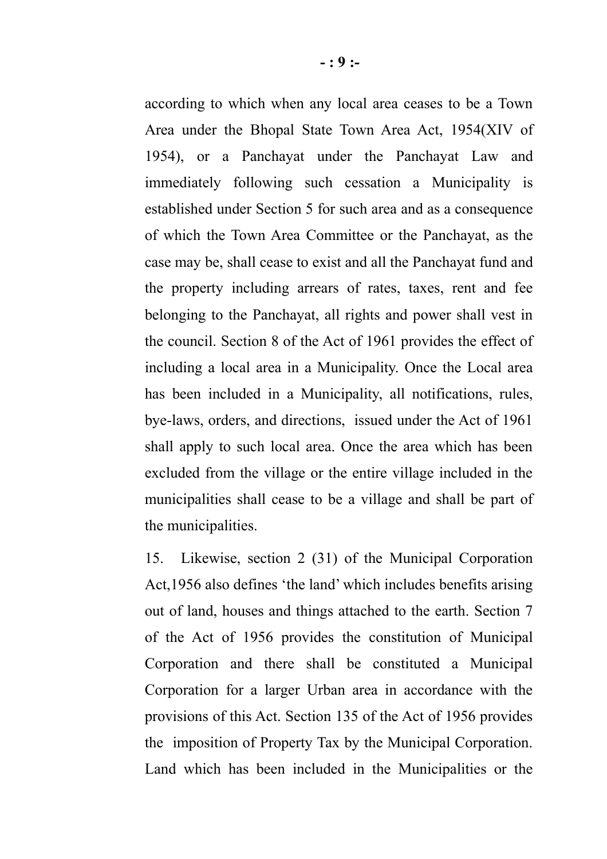according to which when any local area ceases to be a Town Area under the Bhopal State Town Area Act, 1954(XIV of 1954), or a Panchayat under the Panchayat Law and immediately following such cessation a Municipality is established under Section 5 for such area and as a consequence of which the Town Area Committee or the Panchayat, as the case may be, shall cease to exist and all the Panchayat fund and the property including arrears of rates, taxes, rent and fee belonging to the Panchayat, all rights and power shall vest in the council. Section 8 of the Act of 1961 provides the effect of including a local area in a Municipality. Once the Local area has been included in a Municipality, all notifications, rules, bye-laws, orders, and directions, issued under the Act of 1961 shall apply to such local area. Once the area which has been excluded from the village or the entire village included in the municipalities shall cease to be a village and shall be part of the municipalities.

15. Likewise, section 2 (31) of the Municipal Corporation Act,1956 also defines 'the land' which includes benefits arising out of land, houses and things attached to the earth. Section 7 of the Act of 1956 provides the constitution of Municipal Corporation and there shall be constituted a Municipal Corporation for a larger Urban area in accordance with the provisions of this Act. Section 135 of the Act of 1956 provides the imposition of Property Tax by the Municipal Corporation. Land which has been included in the Municipalities or the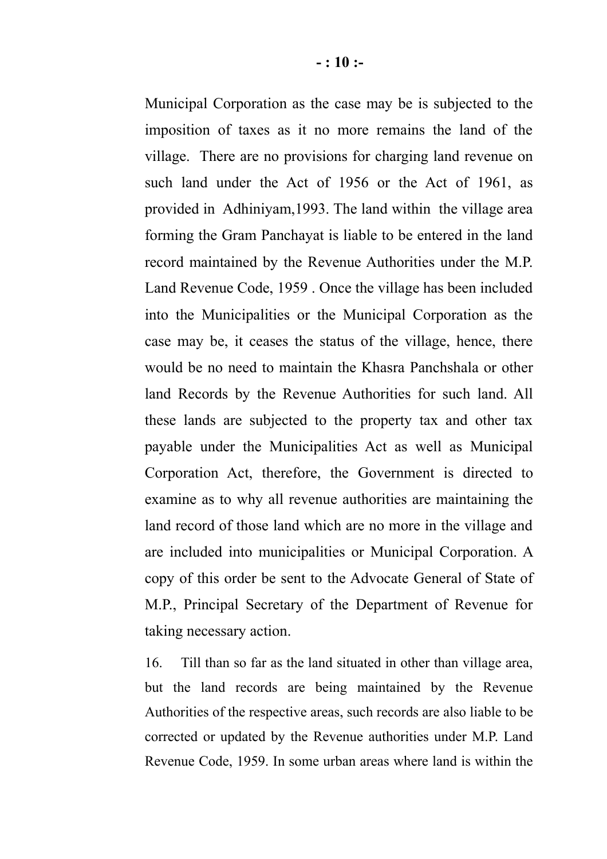Municipal Corporation as the case may be is subjected to the imposition of taxes as it no more remains the land of the village. There are no provisions for charging land revenue on such land under the Act of 1956 or the Act of 1961, as provided in Adhiniyam,1993. The land within the village area forming the Gram Panchayat is liable to be entered in the land record maintained by the Revenue Authorities under the M.P. Land Revenue Code, 1959 . Once the village has been included into the Municipalities or the Municipal Corporation as the case may be, it ceases the status of the village, hence, there would be no need to maintain the Khasra Panchshala or other land Records by the Revenue Authorities for such land. All these lands are subjected to the property tax and other tax payable under the Municipalities Act as well as Municipal Corporation Act, therefore, the Government is directed to examine as to why all revenue authorities are maintaining the land record of those land which are no more in the village and are included into municipalities or Municipal Corporation. A copy of this order be sent to the Advocate General of State of M.P., Principal Secretary of the Department of Revenue for taking necessary action.

16. Till than so far as the land situated in other than village area, but the land records are being maintained by the Revenue Authorities of the respective areas, such records are also liable to be corrected or updated by the Revenue authorities under M.P. Land Revenue Code, 1959. In some urban areas where land is within the